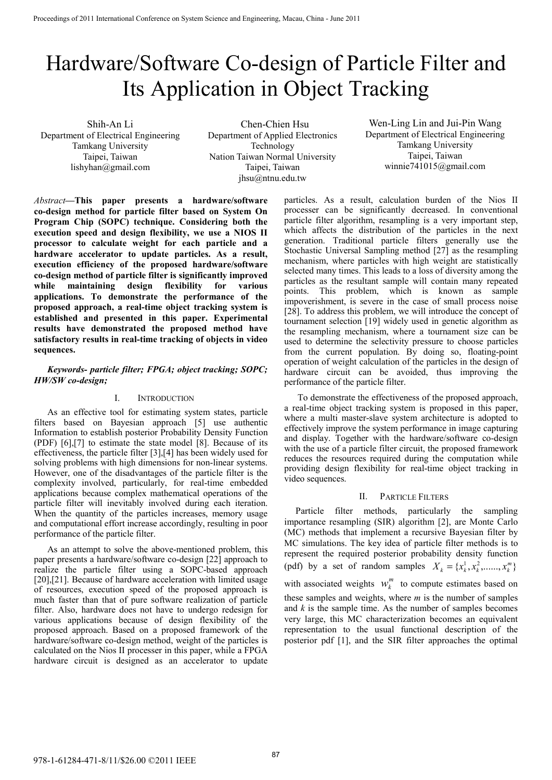# Hardware/Software Co-design of Particle Filter and Its Application in Object Tracking

Shih-An Li Department of Electrical Engineering Tamkang University Taipei, Taiwan lishyhan@gmail.com

Chen-Chien Hsu Department of Applied Electronics Technology Nation Taiwan Normal University Taipei, Taiwan jhsu@ntnu.edu.tw

Wen-Ling Lin and Jui-Pin Wang Department of Electrical Engineering Tamkang University Taipei, Taiwan winnie741015@gmail.com

*Abstract***—This paper presents a hardware/software co-design method for particle filter based on System On Program Chip (SOPC) technique. Considering both the execution speed and design flexibility, we use a NIOS II processor to calculate weight for each particle and a hardware accelerator to update particles. As a result, execution efficiency of the proposed hardware/software co-design method of particle filter is significantly improved while maintaining design flexibility for various applications. To demonstrate the performance of the proposed approach, a real-time object tracking system is established and presented in this paper. Experimental results have demonstrated the proposed method have satisfactory results in real-time tracking of objects in video sequences.** 

# *Keywords- particle filter; FPGA; object tracking; SOPC; HW/SW co-design;*

# I. INTRODUCTION

As an effective tool for estimating system states, particle filters based on Bayesian approach [5] use authentic Information to establish posterior Probability Density Function (PDF) [6],[7] to estimate the state model [8]. Because of its effectiveness, the particle filter [3],[4] has been widely used for solving problems with high dimensions for non-linear systems. However, one of the disadvantages of the particle filter is the complexity involved, particularly, for real-time embedded applications because complex mathematical operations of the particle filter will inevitably involved during each iteration. When the quantity of the particles increases, memory usage and computational effort increase accordingly, resulting in poor performance of the particle filter.

As an attempt to solve the above-mentioned problem, this paper presents a hardware/software co-design [22] approach to realize the particle filter using a SOPC-based approach [20], [21]. Because of hardware acceleration with limited usage of resources, execution speed of the proposed approach is much faster than that of pure software realization of particle filter. Also, hardware does not have to undergo redesign for various applications because of design flexibility of the proposed approach. Based on a proposed framework of the hardware/software co-design method, weight of the particles is calculated on the Nios II processer in this paper, while a FPGA hardware circuit is designed as an accelerator to update particles. As a result, calculation burden of the Nios II processer can be significantly decreased. In conventional particle filter algorithm, resampling is a very important step, which affects the distribution of the particles in the next generation. Traditional particle filters generally use the Stochastic Universal Sampling method [27] as the resampling mechanism, where particles with high weight are statistically selected many times. This leads to a loss of diversity among the particles as the resultant sample will contain many repeated points. This problem, which is known as sample impoverishment, is severe in the case of small process noise [28]. To address this problem, we will introduce the concept of tournament selection [19] widely used in genetic algorithm as the resampling mechanism, where a tournament size can be used to determine the selectivity pressure to choose particles from the current population. By doing so, floating-point operation of weight calculation of the particles in the design of hardware circuit can be avoided, thus improving the performance of the particle filter.

To demonstrate the effectiveness of the proposed approach, a real-time object tracking system is proposed in this paper, where a multi master-slave system architecture is adopted to effectively improve the system performance in image capturing and display. Together with the hardware/software co-design with the use of a particle filter circuit, the proposed framework reduces the resources required during the computation while providing design flexibility for real-time object tracking in video sequences.

# II. PARTICLE FILTERS

Particle filter methods, particularly the sampling importance resampling (SIR) algorithm [2], are Monte Carlo (MC) methods that implement a recursive Bayesian filter by MC simulations. The key idea of particle filter methods is to represent the required posterior probability density function (pdf) by a set of random samples  $X_k = \{x_k^1, x_k^2, \dots, x_k^m\}$ 

with associated weights  $w_k^m$  to compute estimates based on these samples and weights, where *m* is the number of samples and *k* is the sample time. As the number of samples becomes very large, this MC characterization becomes an equivalent representation to the usual functional description of the posterior pdf [1], and the SIR filter approaches the optimal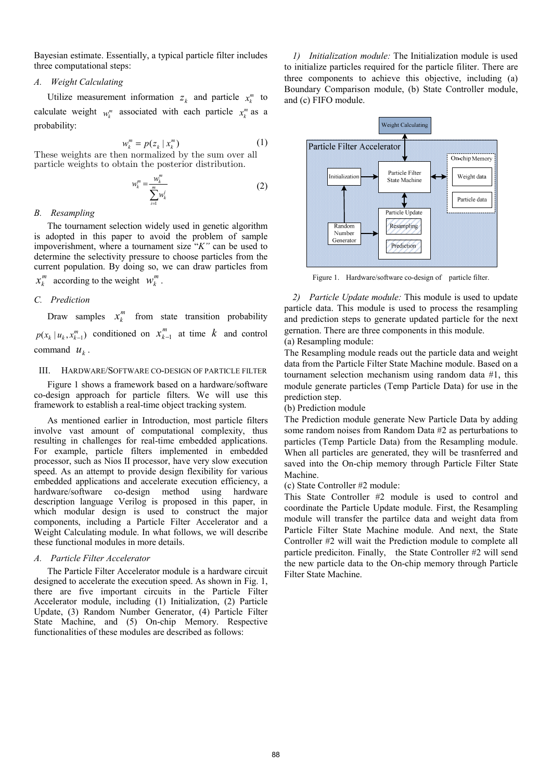Bayesian estimate. Essentially, a typical particle filter includes three computational steps:

#### *A. Weight Calculating*

Utilize measurement information  $z_k$  and particle  $x_k^m$  to calculate weight  $w_k^m$  associated with each particle  $x_k^m$  as a probability:

$$
w_k^m = p(z_k | x_k^m)
$$
 (1)

These weights are then normalized by the sum over all particle weights to obtain the posterior distribution.

$$
w_k^m = \frac{w_k^m}{\sum_{i=1}^m w_k^i}
$$
 (2)

# *B. Resampling*

The tournament selection widely used in genetic algorithm is adopted in this paper to avoid the problem of sample impoverishment, where a tournament size "*K"* can be used to determine the selectivity pressure to choose particles from the current population. By doing so, we can draw particles from

# $x_k^m$  according to the weight  $w_k^m$ .

# *C. Prediction*

Draw samples  $x_k^m$  from state transition probability  $p(x_k | u_k, x_{k-1}^m)$  conditioned on  $x_{k-1}^m$  at time  $k$  and control command  $u_k$ .

#### III. HARDWARE/SOFTWARE CO-DESIGN OF PARTICLE FILTER

Figure 1 shows a framework based on a hardware/software co-design approach for particle filters. We will use this framework to establish a real-time object tracking system.

As mentioned earlier in Introduction, most particle filters involve vast amount of computational complexity, thus resulting in challenges for real-time embedded applications. For example, particle filters implemented in embedded processor, such as Nios II processor, have very slow execution speed. As an attempt to provide design flexibility for various embedded applications and accelerate execution efficiency, a hardware/software co-design method using hardware description language Verilog is proposed in this paper, in which modular design is used to construct the major components, including a Particle Filter Accelerator and a Weight Calculating module. In what follows, we will describe these functional modules in more details.

#### *A. Particle Filter Accelerator*

The Particle Filter Accelerator module is a hardware circuit designed to accelerate the execution speed. As shown in Fig. 1, there are five important circuits in the Particle Filter Accelerator module, including (1) Initialization, (2) Particle Update, (3) Random Number Generator, (4) Particle Filter State Machine, and (5) On-chip Memory. Respective functionalities of these modules are described as follows:

*1) Initialization module:* The Initialization module is used to initialize particles required for the particle filiter. There are three components to achieve this objective, including (a) Boundary Comparison module, (b) State Controller module, and (c) FIFO module.



Figure 1. Hardware/software co-design of particle filter.

*2) Particle Update module:* This module is used to update particle data. This module is used to process the resampling and prediction steps to generate updated particle for the next gernation. There are three components in this module. (a) Resampling module:

The Resampling module reads out the particle data and weight data from the Particle Filter State Machine module. Based on a tournament selection mechanism using random data #1, this module generate particles (Temp Particle Data) for use in the prediction step.

# (b) Prediction module

The Prediction module generate New Particle Data by adding some random noises from Random Data #2 as perturbations to particles (Temp Particle Data) from the Resampling module. When all particles are generated, they will be trasnferred and saved into the On-chip memory through Particle Filter State Machine.

# (c) State Controller #2 module:

This State Controller #2 module is used to control and coordinate the Particle Update module. First, the Resampling module will transfer the partilce data and weight data from Particle Filter State Machine module. And next, the State Controller #2 will wait the Prediction module to complete all particle prediciton. Finally, the State Controller #2 will send the new particle data to the On-chip memory through Particle Filter State Machine.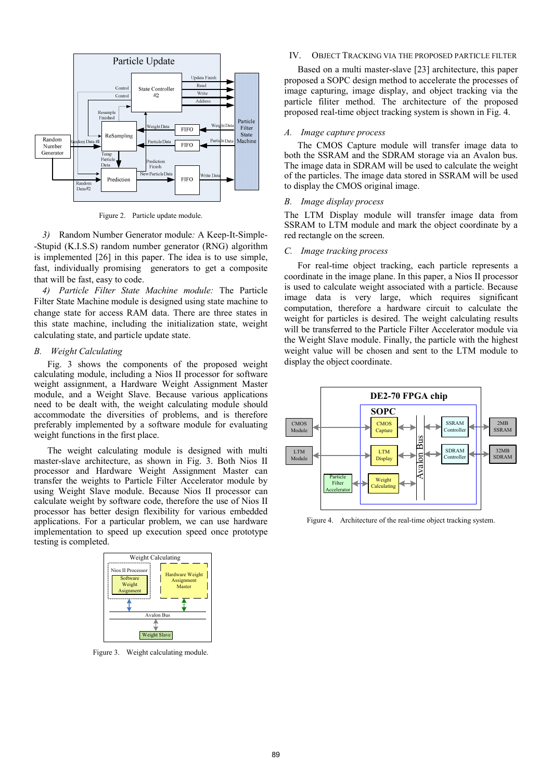

Figure 2. Particle update module.

*3)* Random Number Generator module*:* A Keep-It-Simple- -Stupid (K.I.S.S) random number generator (RNG) algorithm is implemented [26] in this paper. The idea is to use simple, fast, individually promising generators to get a composite that will be fast, easy to code.

*4) Particle Filter State Machine module:* The Particle Filter State Machine module is designed using state machine to change state for access RAM data. There are three states in this state machine, including the initialization state, weight calculating state, and particle update state.

#### *B. Weight Calculating*

Fig. 3 shows the components of the proposed weight calculating module, including a Nios II processor for software weight assignment, a Hardware Weight Assignment Master module, and a Weight Slave. Because various applications need to be dealt with, the weight calculating module should accommodate the diversities of problems, and is therefore preferably implemented by a software module for evaluating weight functions in the first place.

The weight calculating module is designed with multi master-slave architecture, as shown in Fig. 3. Both Nios II processor and Hardware Weight Assignment Master can transfer the weights to Particle Filter Accelerator module by using Weight Slave module. Because Nios II processor can calculate weight by software code, therefore the use of Nios II processor has better design flexibility for various embedded applications. For a particular problem, we can use hardware implementation to speed up execution speed once prototype testing is completed.



Figure 3. Weight calculating module.

# IV. OBJECT TRACKING VIA THE PROPOSED PARTICLE FILTER

Based on a multi master-slave [23] architecture, this paper proposed a SOPC design method to accelerate the processes of image capturing, image display, and object tracking via the particle filiter method. The architecture of the proposed proposed real-time object tracking system is shown in Fig. 4.

#### *A. Image capture process*

The CMOS Capture module will transfer image data to both the SSRAM and the SDRAM storage via an Avalon bus. The image data in SDRAM will be used to calculate the weight of the particles. The image data stored in SSRAM will be used to display the CMOS original image.

#### *B. Image display process*

The LTM Display module will transfer image data from SSRAM to LTM module and mark the object coordinate by a red rectangle on the screen.

#### *C. Image tracking process*

For real-time object tracking, each particle represents a coordinate in the image plane. In this paper, a Nios II processor is used to calculate weight associated with a particle. Because image data is very large, which requires significant computation, therefore a hardware circuit to calculate the weight for particles is desired. The weight calculating results will be transferred to the Particle Filter Accelerator module via the Weight Slave module. Finally, the particle with the highest weight value will be chosen and sent to the LTM module to display the object coordinate.



Figure 4. Architecture of the real-time object tracking system.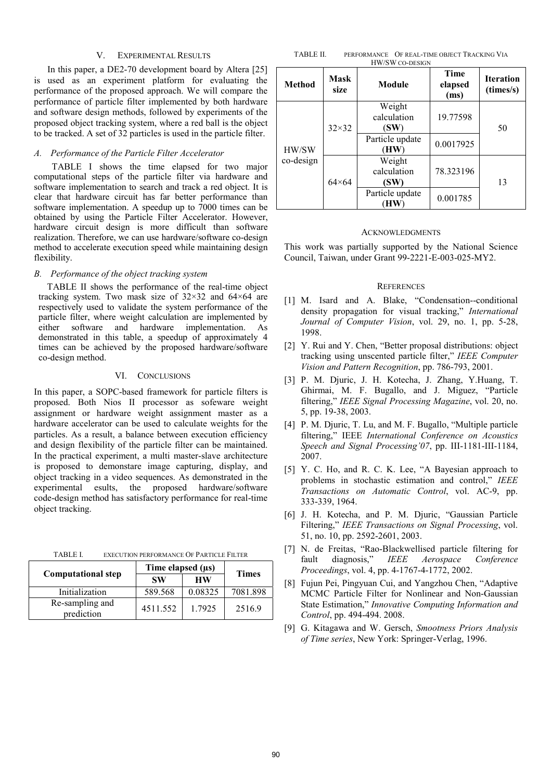# V. EXPERIMENTAL RESULTS

In this paper, a DE2-70 development board by Altera [25] is used as an experiment platform for evaluating the performance of the proposed approach. We will compare the performance of particle filter implemented by both hardware and software design methods, followed by experiments of the proposed object tracking system, where a red ball is the object to be tracked. A set of 32 particles is used in the particle filter.

#### *A. Performance of the Particle Filter Accelerator*

 TABLE I shows the time elapsed for two major computational steps of the particle filter via hardware and software implementation to search and track a red object. It is clear that hardware circuit has far better performance than software implementation. A speedup up to 7000 times can be obtained by using the Particle Filter Accelerator. However, hardware circuit design is more difficult than software realization. Therefore, we can use hardware/software co-design method to accelerate execution speed while maintaining design flexibility.

# *B. Performance of the object tracking system*

TABLE II shows the performance of the real-time object tracking system. Two mask size of 32×32 and 64×64 are respectively used to validate the system performance of the particle filter, where weight calculation are implemented by either software and hardware implementation. As demonstrated in this table, a speedup of approximately 4 times can be achieved by the proposed hardware/software co-design method.

#### VI. CONCLUSIONS

In this paper, a SOPC-based framework for particle filters is proposed. Both Nios II processor as sofeware weight assignment or hardware weight assignment master as a hardware accelerator can be used to calculate weights for the particles. As a result, a balance between execution efficiency and design flexibility of the particle filter can be maintained. In the practical experiment, a multi master-slave architecture is proposed to demonstare image capturing, display, and object tracking in a video sequences. As demonstrated in the experimental esults, the proposed hardware/software code-design method has satisfactory performance for real-time object tracking.

| TABLE I. | EXECUTION PERFORMANCE OF PARTICLE FILTER |
|----------|------------------------------------------|
|          |                                          |

|                               | Time elapsed $(\mu s)$ |           |              |
|-------------------------------|------------------------|-----------|--------------|
| <b>Computational step</b>     | <b>SW</b>              | <b>HW</b> | <b>Times</b> |
| Initialization                | 589.568                | 0.08325   | 7081.898     |
| Re-sampling and<br>prediction | 4511.552               | 1.7925    | 2516.9       |

TABLE II. PERFORMANCE OF REAL-TIME OBJECT TRACKING VIA HW/SW CO-DESIGN

| <b>Method</b>      | <b>Mask</b><br>size | Module                        | <b>Time</b><br>elapsed<br>(ms) | <b>Iteration</b><br>(times/s) |
|--------------------|---------------------|-------------------------------|--------------------------------|-------------------------------|
| HW/SW<br>co-design | $32\times32$        | Weight<br>calculation<br>(SW) | 19.77598                       | 50                            |
|                    |                     | Particle update<br>(HW)       | 0.0017925                      |                               |
|                    | $64\times 64$       | Weight<br>calculation<br>(SW) | 78.323196                      | 13                            |
|                    |                     | Particle update               | 0.001785                       |                               |

#### ACKNOWLEDGMENTS

This work was partially supported by the National Science Council, Taiwan, under Grant 99-2221-E-003-025-MY2.

#### **REFERENCES**

- [1] M. Isard and A. Blake, "Condensation--conditional density propagation for visual tracking," *International Journal of Computer Vision*, vol. 29, no. 1, pp. 5-28, 1998.
- [2] Y. Rui and Y. Chen, "Better proposal distributions: object tracking using unscented particle filter," *IEEE Computer Vision and Pattern Recognition*, pp. 786-793, 2001.
- [3] P. M. Djuric, J. H. Kotecha, J. Zhang, Y.Huang, T. Ghirmai, M. F. Bugallo, and J. Miguez, "Particle filtering," *IEEE Signal Processing Magazine*, vol. 20, no. 5, pp. 19-38, 2003.
- [4] P. M. Djuric, T. Lu, and M. F. Bugallo, "Multiple particle filtering," IEEE *International Conference on Acoustics Speech and Signal Processing'07*, pp. III-1181-III-1184, 2007.
- [5] Y. C. Ho, and R. C. K. Lee, "A Bayesian approach to problems in stochastic estimation and control," *IEEE Transactions on Automatic Control*, vol. AC-9, pp. 333-339, 1964.
- [6] J. H. Kotecha, and P. M. Djuric, "Gaussian Particle Filtering," *IEEE Transactions on Signal Processing*, vol. 51, no. 10, pp. 2592-2601, 2003.
- [7] N. de Freitas, "Rao-Blackwellised particle filtering for fault diagnosis," *IEEE Aerospace Conference Proceedings*, vol. 4, pp. 4-1767-4-1772, 2002.
- [8] Fujun Pei, Pingyuan Cui, and Yangzhou Chen, "Adaptive MCMC Particle Filter for Nonlinear and Non-Gaussian State Estimation," *Innovative Computing Information and Control*, pp. 494-494. 2008.
- [9] G. Kitagawa and W. Gersch, *Smootness Priors Analysis of Time series*, New York: Springer-Verlag, 1996.